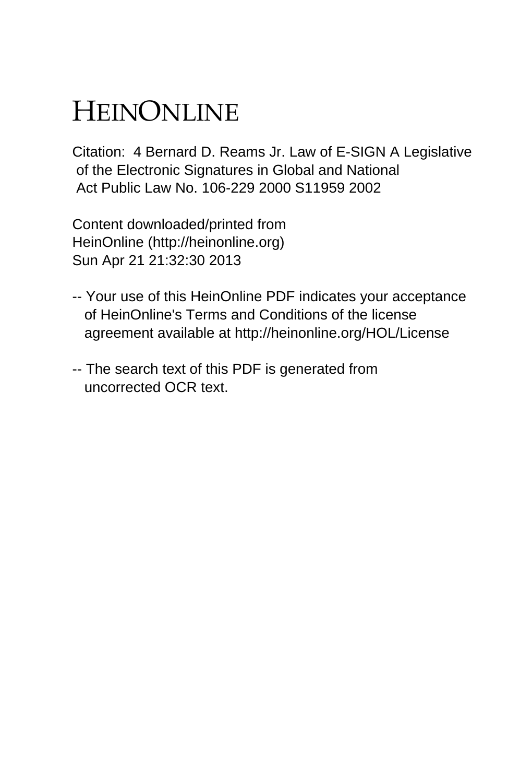# HEINONLINE

Citation: 4 Bernard D. Reams Jr. Law of E-SIGN A Legislative of the Electronic Signatures in Global and National Act Public Law No. 106-229 2000 S11959 2002

Content downloaded/printed from HeinOnline (http://heinonline.org) Sun Apr 21 21:32:30 2013

- -- Your use of this HeinOnline PDF indicates your acceptance of HeinOnline's Terms and Conditions of the license agreement available at http://heinonline.org/HOL/License
- -- The search text of this PDF is generated from uncorrected OCR text.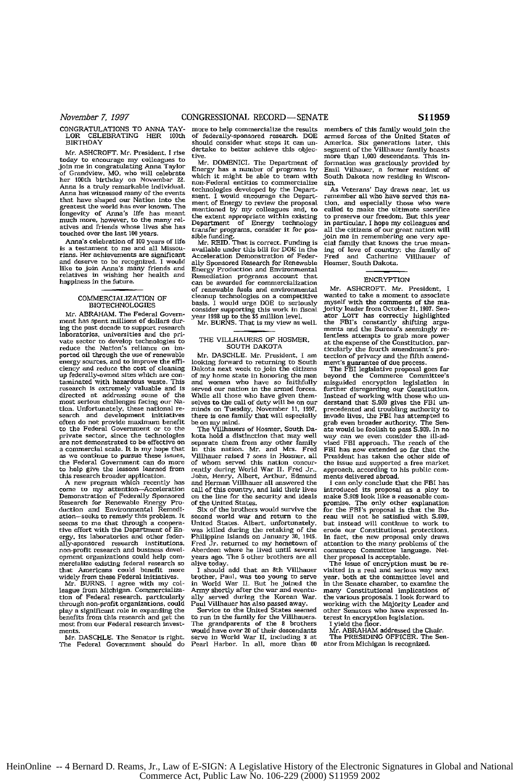*November 7, 1997* **C**

#### CONGRATULATIONS TO ANNA TAY-<br>LOR CELEBRATING HER 100th CELEBRATING HER **BIRTHDAY**

Mr. ASHCROFT. Mr. President, I rise today to encourage my colleagues to join me in congratulating Anna Taylor of Grandview, *MO,* who will celebrate her 110th birthday on November 22. Anna is a truly remarkable individual. Anna has witnessed many **of** the events that have shaped our Nation into the greatest the world has ever known. The longevity of Anna's life has meant much more. however, to the many relatives and friends whose lives she has touched over the last **100** years.

Anna's celebration of **I00** years of life is a testament to me **and** all Missourians. Her achievements **are** significant and deserve to be recognized. I would like to join Anna's many friends and relatives in wishing her health and happiness in the future.

## COMMERCIALIZATION OF BIOTECHNOLOGIES

Mr. ABRAHAM. The Federal Government has spent millions of dollars during the past decade to support research laboratories, universities and the private sector to develop technologies to reduce the Nation's reliance on imported oil through the use of renewable energy sources, and to improve the effi-ciency and reduce the cost of cleaning up federally-owned sites which are contaminated with hazardous waste. This research is extremely valuable and is directed at addressing some of the most serious challenges facing our Nation. Unfortunately, these national re-search and development initiatives often do not provide maximum benefit to the Federal Government or to the private sector, since the technologies are not demonstrated to be effective on a commercial scale. It is my hope that **as** we continue to pursue these issues, the Federal Government can do more to help give the lessons learned from this research broader application. A new program which recently has

come to my attention-Acceleration Demonstration of Federally Sponsored Research for Renewable Rnergy Pro-duction and Environmental Remediation-seeks to remedy this problem. It seems to me that through a coopera-tive effort with the Department of En ergy, *its* laboratories and other feder-ally-sponsored research institutions, non-profit research and business development organizations could help commercialize existing federal research so that Americans could benefit more widely from these Federal initiatives.

Mr. BURNS. I agree with my col-league from Michigan. Commercialization of Federal research, particularly through non-profit organizations, could play a significant role in expanding the benefits from this research and get the most from our Federal research invest-meats.

Mr. DASCHLE. The Senator is right. The Federal Government should do more to help commercialize the results of federally-sponsored research. **DOE** should consider what steps it can **on**dertake to better achieve this objective.

Mr. DOMENICI. The Department of Energy has a number of programs by which it might be able to team with non-Federal entities to commercialize technologies developed by the Depart-meit. I would encourage the Department of Energy to review the proposal mentioned by my colleagues and, to the extent appropriate within existing Department of Energy technology transfer programs, consider it for pos-

sible funding. Mr. REID. That is correct. Funding is available under this bill for **DOE** in the available under this bill for DOE in the<br>Acceleration Demonstration of Federally Sponsored Research for Renewable Energy Production and Environmental Remediation programs account that can be awarded for commercialization of renewable fuels and environmental cleanup technologies on a competitive<br>basis. I would urge DOE to seriously basis. I would urge **DOE** to seriously consider supporting this work in fiscal year **19l** up to the **\$5** million level. Mr. BURNS. That is my view as **well.**

#### THE VILLHAUERS OF HOSMER, SOUTH DAKOTA

Mr. DASCHLE. Mr. President, I am looking forward to returning to South Dakota next week to join the citizens of my home state in honoring the men **and** women who have so faithfully served our nation in the armed forces. While all those who have given them-selves to the call of duty will be on our minds on Tuesday, November **11, 1997,** there is one family that will especially be on my mind. The Villhauers of Hosmer, South Da-

kota hold a distinction that may well separate them from any other family in this nation. Mr. and Mrs. Fred Villhauer raised 7 sons in Hosmer, all of whom served this nation concurrenty during World War II. Fred Jr, John, Henry, Albert, Arthur, Edmund and Herman Villnauer all answered the call of this country, and laid their lives on the line for the security and ideals of the United States.

*Six* of the brothers would survive the second world war and return to the United States. Albert, unfortunately, was killed during the retaking of the<br>Philippine Islands on January 30, 1945.<br>Fred Jr. returned to my hometown of<br>Aberdeen where he lived until several Aberdeen where he lived until several<br>years ago. The 5 other brothers are all alive today.

I should add that an 8th Villhauer brother, Paul, was too young to serve in World War **II.** But he joined the Army shortly after the war and eventually served during the Korean War. Paul Villhauer has also passed away. Service to the United States seemed

to run in the family for the Villhauers.<br>The grandparents of the 8 brothers<br>would have over 20 of their descendants<br>serve in World War II, including 3 at<br>Pearl Harbor. In all, more than 60

members of this family would join the armed forces of the United States of America. Six generations later, this segment of the Villhauer **family** boasts more than **1.000** descendants. This information was graciously provided **by** Emil ViLhauer, a former resident of South Dakota **now** residing in Wisconsin.

As Veterans' Day draws near, let us remember all who have served this nation, **and** especially those who were called to make the ultimate sacrifice to preserve our freedom. But this year in particular, I hope my colleagues and all the citizens of our great nation will join me in remembering one very spe-cial family that knows the true meaning of love of country: the family of<br>Fred and Catherine Villhauer of Hosmer, South Dakota.

### ENCRYPTION

Mr. ASHCROFT. Mr. President, I wanted **to** take a moment to associate myself with the comments of the ma-jority leader from October 21, **1997.** Senator LOTr has correctly highlighted the FBI's constantly shifting argu-ments **and** the Bureau's seemingly *re*lentless attempts to grab more power at the expense of the Constitution, par-

ticularly the fourth amendment's procedured riview, and the fifth amendment's proment's guarantee of due process.<br>The FBI legislative proposal goes fan the space of due process.<br>beyond the Commerce Committee's beyond the C grab even broader authority. The Sen-ate would be foolish to pass **S.909.** In no way can we even consider the ill-advised FBI approach. The reach **of** the FBI has now extended so far that the President has taken the other side of the issue **and** supported a free market approach, according to his public comments delivered abroad. I can only conclude that the FBI has

introduced its proposal as a ploy to make **S.909** look like a reasonable compromise. The only other explanation for the FBI's proposal is that the Bu-reau will not **be** satisfied with **Si09,** but instead will continue to work to erode our Constitutional protections. In fact, the new proposal only draws attention to the many problems of the comoerce Committee language. Neither proposal is acceptable

The issue of encryption must be re- visited in a real and serious way next year, both at the committee level and in the Senate chamber, to examine the many Constitutional implications of the various proposals. I look forward to working with the Majority Leader and other Senators who have expressed interest in encryption legislation. I yield the floor. Mr. ABRAHAM addressed the Chair. The PRESIDING OFFICER. The Sen-

ator from Michigan is recognized.

HeinOnline -- 4 Bernard D. Reams, Jr., Law of E-SIGN: A Legislative History of the Electronic Signatures in Global and National Commerce Act, Public Law No. 106-229 (2000) S11959 2002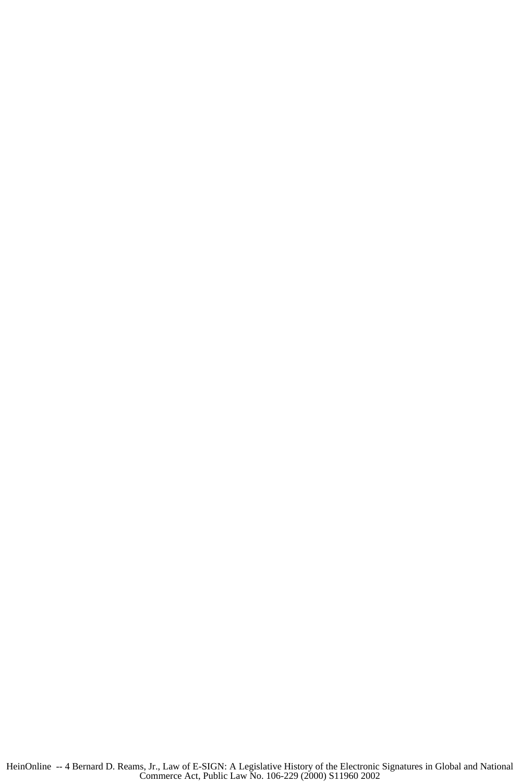HeinOnline -- 4 Bernard D. Reams, Jr., Law of E-SIGN: A Legislative History of the Electronic Signatures in Global and National Commerce Act, Public Law No. 106-229 (2000) S11960 2002